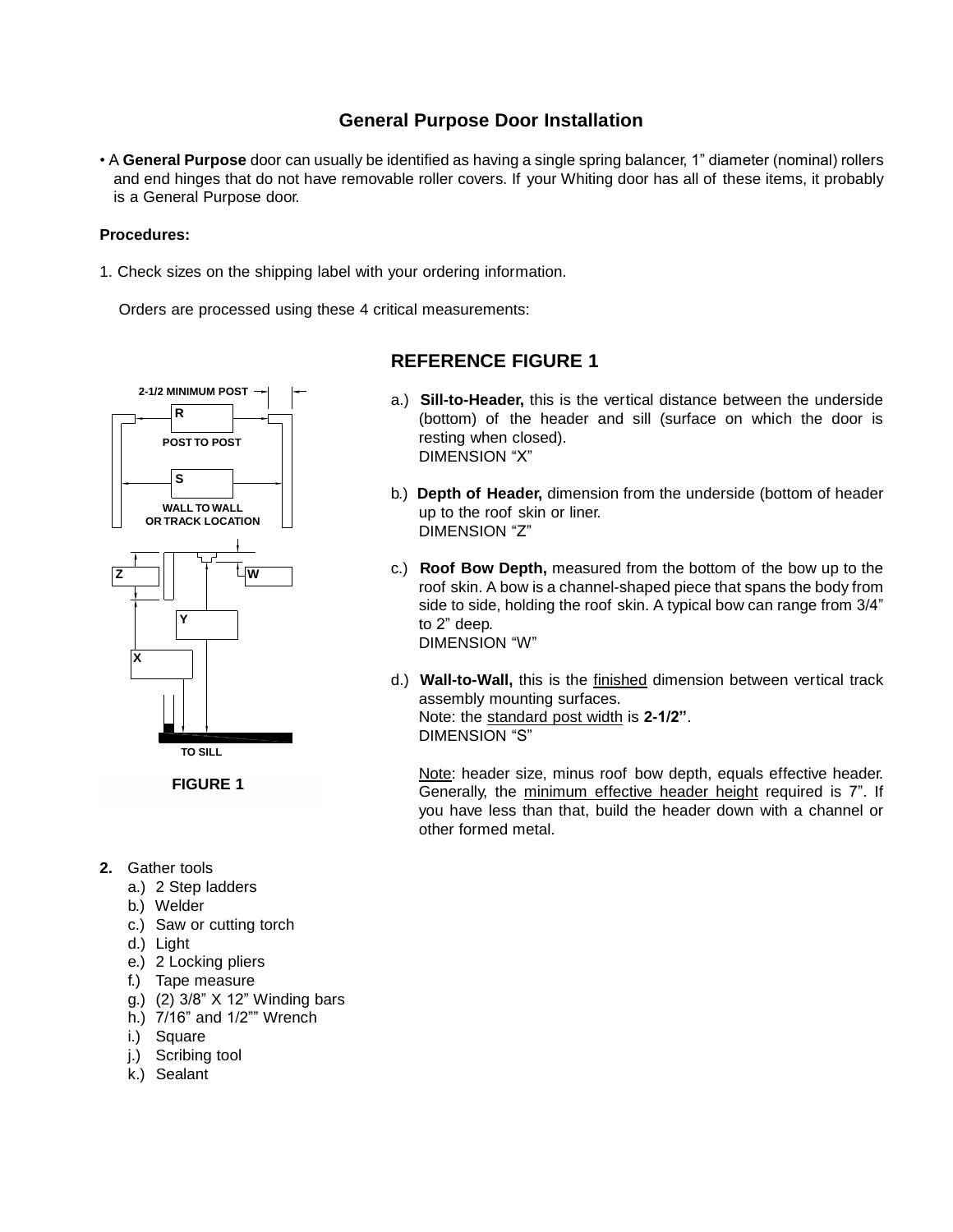## **General Purpose Door Installation**

• A **General Purpose** door can usually be identified as having a single spring balancer, 1" diameter (nominal) rollers and end hinges that do not have removable roller covers. If your Whiting door has all of these items, it probably is a General Purpose door.

### **Procedures:**

1. Check sizes on the shipping label with your ordering information.

Orders are processed using these 4 critical measurements:



- **2.** Gather tools
	- a.) 2 Step ladders
	- b.) Welder
	- c.) Saw or cutting torch
	- d.) Light
	- e.) 2 Locking pliers
	- f.) Tape measure
	- g.) (2) 3/8" X 12" Winding bars
	- h.) 7/16" and 1/2"" Wrench
	- i.) Square
	- j.) Scribing tool
	- k.) Sealant

# **REFERENCE FIGURE 1**

- a.) **Sill-to-Header,** this is the vertical distance between the underside (bottom) of the header and sill (surface on which the door is resting when closed). DIMENSION "X"
- b.) **Depth of Header,** dimension from the underside (bottom of header up to the roof skin or liner. DIMENSION "Z"
- c.) **Roof Bow Depth,** measured from the bottom of the bow up to the roof skin. A bow is a channel-shaped piece that spans the body from side to side, holding the roof skin. A typical bow can range from 3/4" to 2" deep. DIMENSION "W"
- d.) **Wall-to-Wall,** this is the finished dimension between vertical track assembly mounting surfaces. Note: the standard post width is **2-1/2"**. DIMENSION "S"

Note: header size, minus roof bow depth, equals effective header. Generally, the minimum effective header height required is 7". If you have less than that, build the header down with a channel or other formed metal.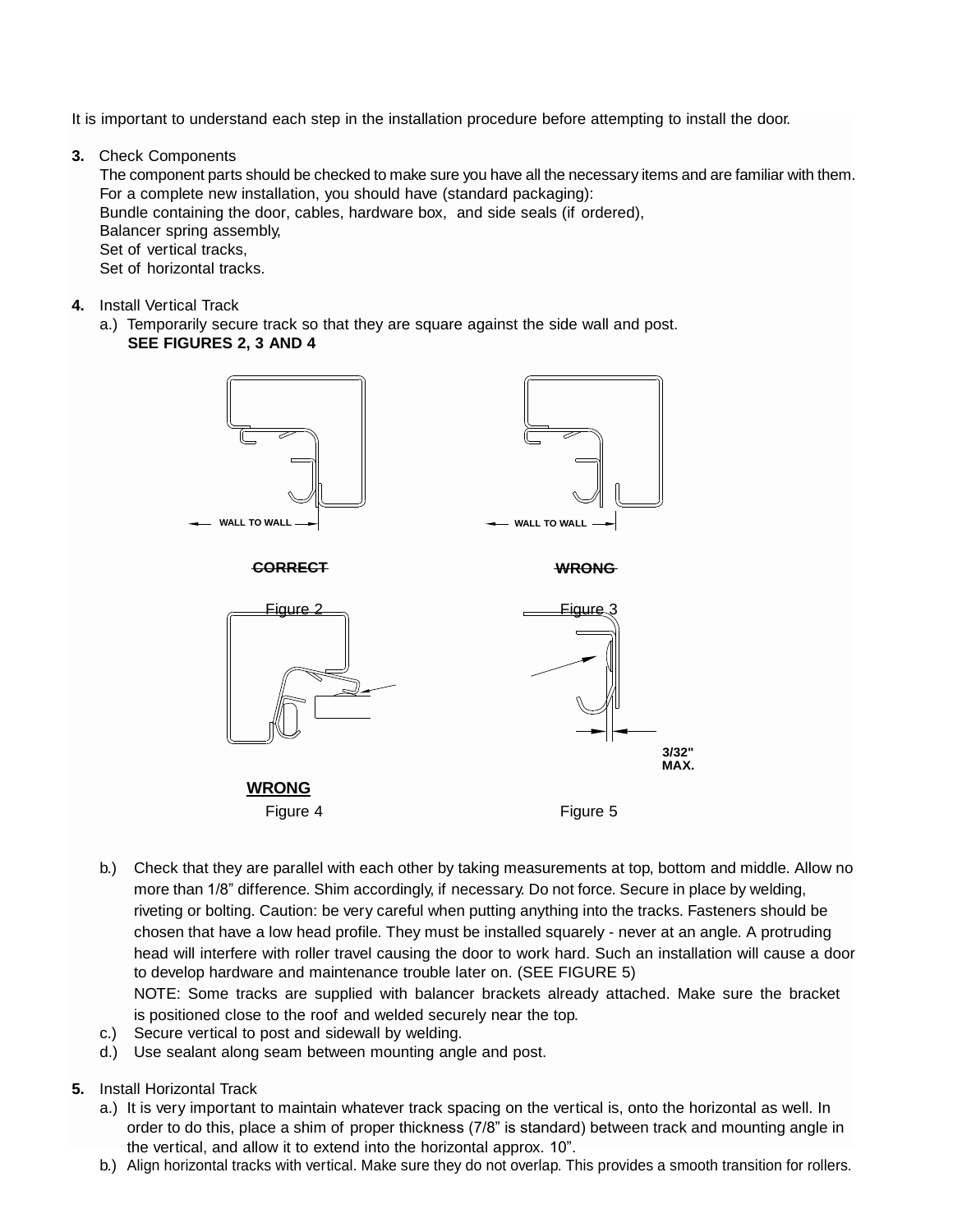It is important to understand each step in the installation procedure before attempting to install the door.

**3.** Check Components

The component parts should be checked to make sure you have all the necessary items and are familiar with them. For a complete new installation, you should have (standard packaging): Bundle containing the door, cables, hardware box, and side seals (if ordered), Balancer spring assembly, Set of vertical tracks, Set of horizontal tracks.

**4.** Install Vertical Track

a.) Temporarily secure track so that they are square against the side wall and post. **SEE FIGURES 2, 3 AND 4**



Figure 4 Figure 5

b.) Check that they are parallel with each other by taking measurements at top, bottom and middle. Allow no more than 1/8" difference. Shim accordingly, if necessary. Do not force. Secure in place by welding, riveting or bolting. Caution: be very careful when putting anything into the tracks. Fasteners should be chosen that have a low head profile. They must be installed squarely - never at an angle. A protruding head will interfere with roller travel causing the door to work hard. Such an installation will cause a door to develop hardware and maintenance trouble later on. (SEE FIGURE 5) NOTE: Some tracks are supplied with balancer brackets already attached. Make sure the bracket

is positioned close to the roof and welded securely near the top.

- c.) Secure vertical to post and sidewall by welding.
- d.) Use sealant along seam between mounting angle and post.
- **5.** Install Horizontal Track
	- a.) It is very important to maintain whatever track spacing on the vertical is, onto the horizontal as well. In order to do this, place a shim of proper thickness (7/8" is standard) between track and mounting angle in the vertical, and allow it to extend into the horizontal approx. 10".
	- b.) Align horizontal tracks with vertical. Make sure they do not overlap. This provides a smooth transition for rollers.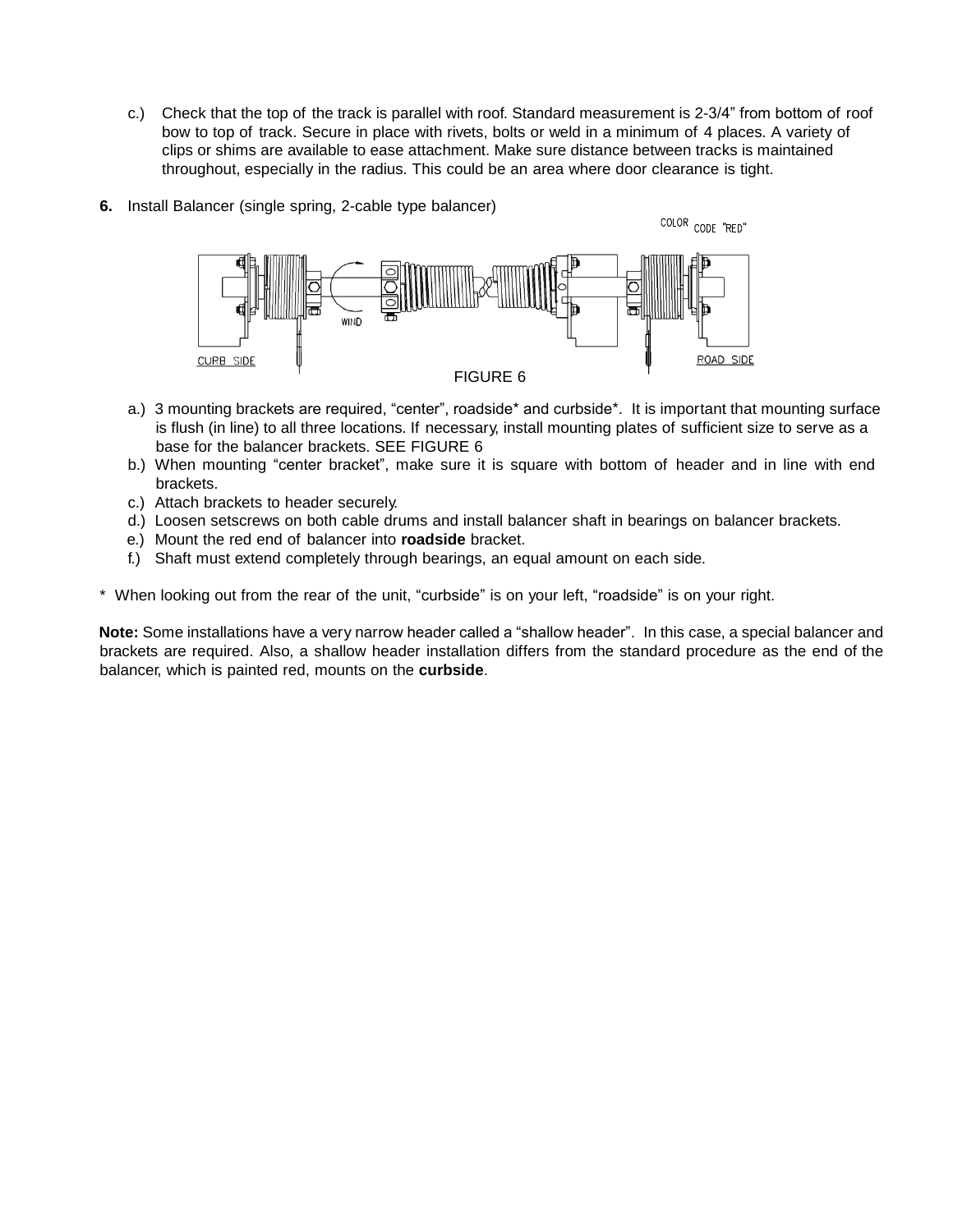- c.) Check that the top of the track is parallel with roof. Standard measurement is 2-3/4" from bottom of roof bow to top of track. Secure in place with rivets, bolts or weld in a minimum of 4 places. A variety of clips or shims are available to ease attachment. Make sure distance between tracks is maintained throughout, especially in the radius. This could be an area where door clearance is tight.
- **6.** Install Balancer (single spring, 2-cable type balancer)



- a.) 3 mounting brackets are required, "center", roadside\* and curbside\*. It is important that mounting surface is flush (in line) to all three locations. If necessary, install mounting plates of sufficient size to serve as a base for the balancer brackets. SEE FIGURE 6
- b.) When mounting "center bracket", make sure it is square with bottom of header and in line with end brackets.
- c.) Attach brackets to header securely.
- d.) Loosen setscrews on both cable drums and install balancer shaft in bearings on balancer brackets.
- e.) Mount the red end of balancer into **roadside** bracket.
- f.) Shaft must extend completely through bearings, an equal amount on each side.

\* When looking out from the rear of the unit, "curbside" is on your left, "roadside" is on your right.

**Note:** Some installations have a very narrow header called a "shallow header". In this case, a special balancer and brackets are required. Also, a shallow header installation differs from the standard procedure as the end of the balancer, which is painted red, mounts on the **curbside**.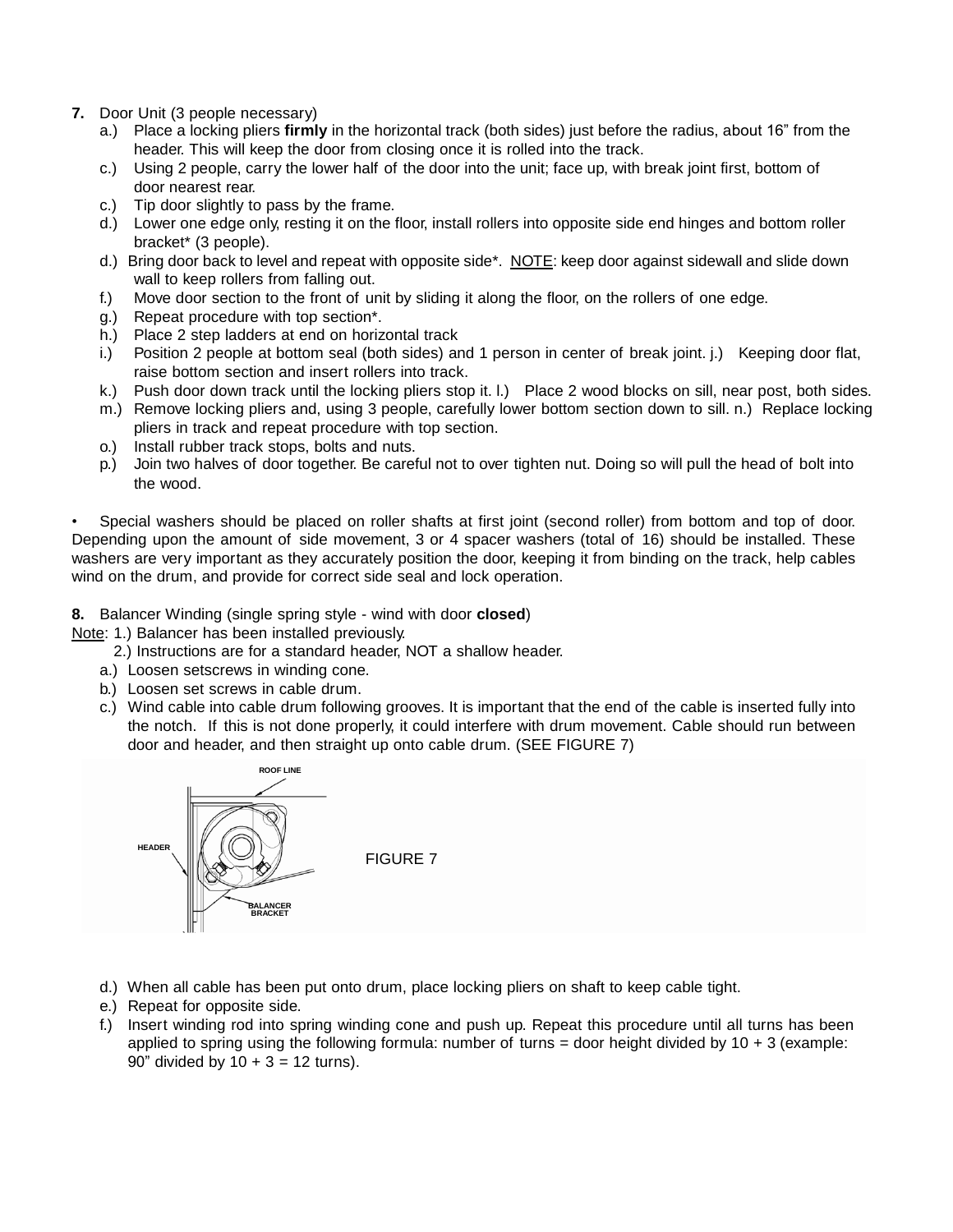- **7.** Door Unit (3 people necessary)
	- a.) Place a locking pliers **firmly** in the horizontal track (both sides) just before the radius, about 16" from the header. This will keep the door from closing once it is rolled into the track.
	- c.) Using 2 people, carry the lower half of the door into the unit; face up, with break joint first, bottom of door nearest rear.
	- c.) Tip door slightly to pass by the frame.
	- d.) Lower one edge only, resting it on the floor, install rollers into opposite side end hinges and bottom roller bracket\* (3 people).
	- d.) Bring door back to level and repeat with opposite side\*. NOTE: keep door against sidewall and slide down wall to keep rollers from falling out.
	- f.) Move door section to the front of unit by sliding it along the floor, on the rollers of one edge.
	- g.) Repeat procedure with top section\*.
	- h.) Place 2 step ladders at end on horizontal track
	- i.) Position 2 people at bottom seal (both sides) and 1 person in center of break joint. j.) Keeping door flat, raise bottom section and insert rollers into track.
	- k.) Push door down track until the locking pliers stop it. l.) Place 2 wood blocks on sill, near post, both sides.
	- m.) Remove locking pliers and, using 3 people, carefully lower bottom section down to sill. n.) Replace locking pliers in track and repeat procedure with top section.
	- o.) Install rubber track stops, bolts and nuts.
	- p.) Join two halves of door together. Be careful not to over tighten nut. Doing so will pull the head of bolt into the wood.

• Special washers should be placed on roller shafts at first joint (second roller) from bottom and top of door. Depending upon the amount of side movement, 3 or 4 spacer washers (total of 16) should be installed. These washers are very important as they accurately position the door, keeping it from binding on the track, help cables wind on the drum, and provide for correct side seal and lock operation.

**8.** Balancer Winding (single spring style - wind with door **closed**)

Note: 1.) Balancer has been installed previously.

- 2.) Instructions are for a standard header, NOT a shallow header.
- a.) Loosen setscrews in winding cone.
- b.) Loosen set screws in cable drum.
- c.) Wind cable into cable drum following grooves. It is important that the end of the cable is inserted fully into the notch. If this is not done properly, it could interfere with drum movement. Cable should run between door and header, and then straight up onto cable drum. (SEE FIGURE 7)



FIGURE 7

- d.) When all cable has been put onto drum, place locking pliers on shaft to keep cable tight.
- e.) Repeat for opposite side.
- f.) Insert winding rod into spring winding cone and push up. Repeat this procedure until all turns has been applied to spring using the following formula: number of turns = door height divided by  $10 + 3$  (example: 90" divided by  $10 + 3 = 12$  turns).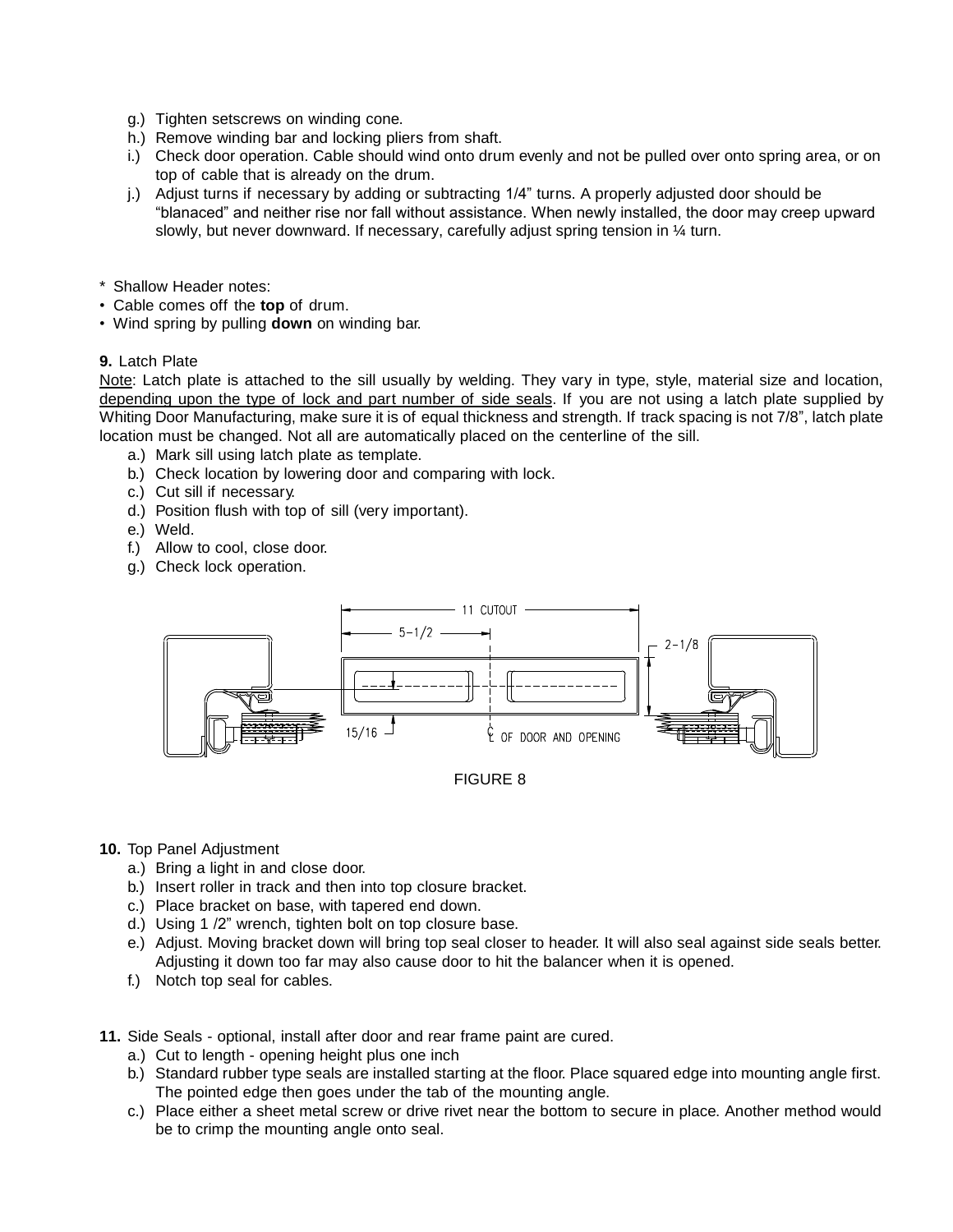- g.) Tighten setscrews on winding cone.
- h.) Remove winding bar and locking pliers from shaft.
- i.) Check door operation. Cable should wind onto drum evenly and not be pulled over onto spring area, or on top of cable that is already on the drum.
- j.) Adjust turns if necessary by adding or subtracting 1/4" turns. A properly adjusted door should be "blanaced" and neither rise nor fall without assistance. When newly installed, the door may creep upward slowly, but never downward. If necessary, carefully adjust spring tension in  $\frac{1}{4}$  turn.
- \* Shallow Header notes:
- Cable comes off the **top** of drum.
- Wind spring by pulling **down** on winding bar.

### **9.** Latch Plate

Note: Latch plate is attached to the sill usually by welding. They vary in type, style, material size and location, depending upon the type of lock and part number of side seals. If you are not using a latch plate supplied by Whiting Door Manufacturing, make sure it is of equal thickness and strength. If track spacing is not 7/8", latch plate location must be changed. Not all are automatically placed on the centerline of the sill.

- a.) Mark sill using latch plate as template.
- b.) Check location by lowering door and comparing with lock.
- c.) Cut sill if necessary.
- d.) Position flush with top of sill (very important).
- e.) Weld.
- f.) Allow to cool, close door.
- g.) Check lock operation.



#### **10.** Top Panel Adjustment

- a.) Bring a light in and close door.
- b.) Insert roller in track and then into top closure bracket.
- c.) Place bracket on base, with tapered end down.
- d.) Using 1 /2" wrench, tighten bolt on top closure base.
- e.) Adjust. Moving bracket down will bring top seal closer to header. It will also seal against side seals better. Adjusting it down too far may also cause door to hit the balancer when it is opened.
- f.) Notch top seal for cables.
- **11.** Side Seals optional, install after door and rear frame paint are cured.
	- a.) Cut to length opening height plus one inch
	- b.) Standard rubber type seals are installed starting at the floor. Place squared edge into mounting angle first. The pointed edge then goes under the tab of the mounting angle.
	- c.) Place either a sheet metal screw or drive rivet near the bottom to secure in place. Another method would be to crimp the mounting angle onto seal.